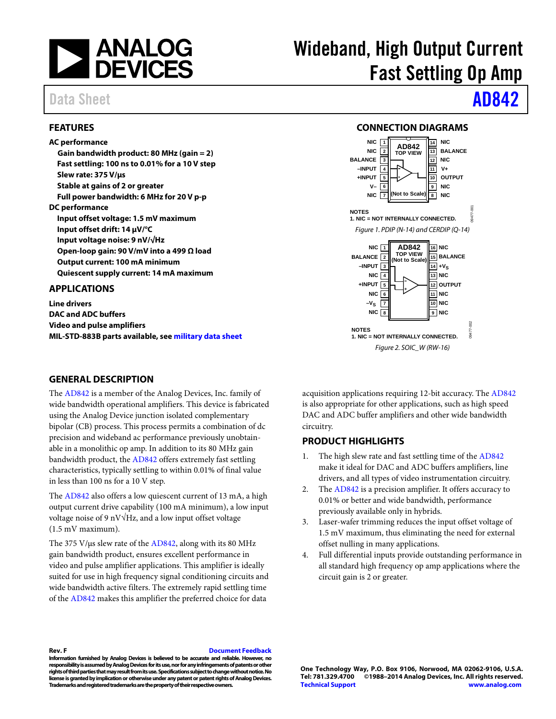

## Data Sheet **[AD842](http://www.analog.com/AD842?doc=AD842.pdf)**

### <span id="page-0-0"></span>**FEATURES**

**AC performance**

**Gain bandwidth product: 80 MHz (gain = 2) Fast settling: 100 ns to 0.01% for a 10 V step Slew rate: 375 V/µs Stable at gains of 2 or greater Full power bandwidth: 6 MHz for 20 V p-p DC performance Input offset voltage: 1.5 mV maximum Input offset drift: 14 µV/°C Input voltage noise: 9 nV/√Hz Open-loop gain: 90 V/mV into a 499 Ω load Output current: 100 mA minimum Quiescent supply current: 14 mA maximum**

### <span id="page-0-1"></span>**APPLICATIONS**

**Line drivers DAC and ADC buffers Video and pulse amplifiers MIL-STD-883B parts available, see [military data sheet](http://www.analog.com/AD842?doc=AD842.pdf)**

### <span id="page-0-3"></span>**GENERAL DESCRIPTION**

The [AD842](http://www.analog.com/AD842?doc=AD842.pdf) is a member of the Analog Devices, Inc. family of wide bandwidth operational amplifiers. This device is fabricated using the Analog Device junction isolated complementary bipolar (CB) process. This process permits a combination of dc precision and wideband ac performance previously unobtainable in a monolithic op amp. In addition to its 80 MHz gain bandwidth product, the [AD842](http://www.analog.com/AD842?doc=AD842.pdf) offers extremely fast settling characteristics, typically settling to within 0.01% of final value in less than 100 ns for a 10 V step.

The [AD842](http://www.analog.com/AD842?doc=AD842.pdf) also offers a low quiescent current of 13 mA, a high output current drive capability (100 mA minimum), a low input voltage noise of 9 nV√Hz, and a low input offset voltage (1.5 mV maximum).

The 375 V/ $\mu$ s slew rate of th[e AD842,](http://www.analog.com/AD842?doc=AD842.pdf) along with its 80 MHz gain bandwidth product, ensures excellent performance in video and pulse amplifier applications. This amplifier is ideally suited for use in high frequency signal conditioning circuits and wide bandwidth active filters. The extremely rapid settling time of the [AD842](http://www.analog.com/AD842?doc=AD842.pdf) makes this amplifier the preferred choice for data

# Wideband, High Output Current Fast Settling Op Amp

### **CONNECTION DIAGRAMS**

<span id="page-0-2"></span>

acquisition applications requiring 12-bit accuracy. The [AD842](http://www.analog.com/AD842?doc=AD842.pdf) is also appropriate for other applications, such as high speed DAC and ADC buffer amplifiers and other wide bandwidth circuitry.

### <span id="page-0-4"></span>**PRODUCT HIGHLIGHTS**

- 1. The high slew rate and fast settling time of the [AD842](http://www.analog.com/AD842?doc=AD842.pdf) make it ideal for DAC and ADC buffers amplifiers, line drivers, and all types of video instrumentation circuitry.
- 2. The [AD842](http://www.analog.com/AD842?doc=AD842.pdf) is a precision amplifier. It offers accuracy to 0.01% or better and wide bandwidth, performance previously available only in hybrids.
- Laser-wafer trimming reduces the input offset voltage of 1.5 mV maximum, thus eliminating the need for external offset nulling in many applications.
- 4. Full differential inputs provide outstanding performance in all standard high frequency op amp applications where the circuit gain is 2 or greater.

### **Rev. F [Document Feedback](https://form.analog.com/Form_Pages/feedback/documentfeedback.aspx?doc=AD842.pdf&product=AD842&rev=F)**

**Information furnished by Analog Devices is believed to be accurate and reliable. However, no responsibility is assumed by Analog Devices for its use, nor for any infringements of patents or other rights of third parties that may result from its use. Specifications subject to change without notice. No license is granted by implication or otherwise under any patent or patent rights of Analog Devices. Trademarks and registered trademarks are the property of their respective owners.**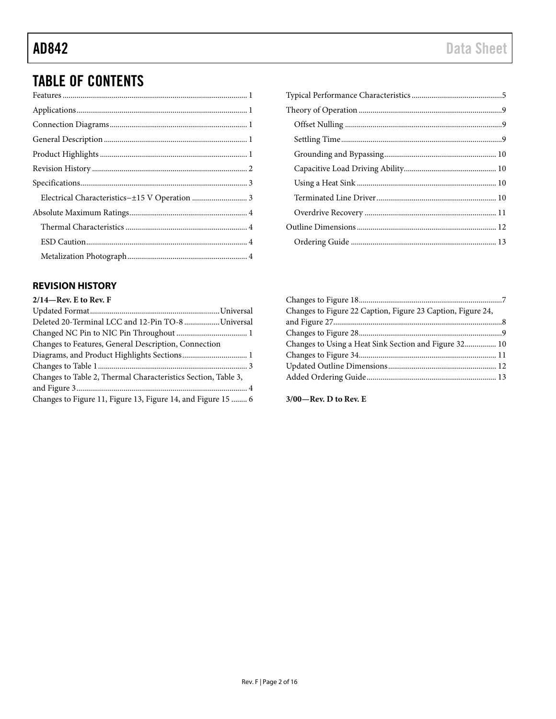## TABLE OF CONTENTS

### <span id="page-1-0"></span>**REVISION HISTORY**

| $2/14$ —Rev. E to Rev. F        |
|---------------------------------|
|                                 |
| Deleted 20-Terminal LCC and 12. |

| Deleted 20-Terminal LCC and 12-Pin TO-8 Universal             |  |
|---------------------------------------------------------------|--|
|                                                               |  |
| Changes to Features, General Description, Connection          |  |
| Diagrams, and Product Highlights Sections 1                   |  |
|                                                               |  |
| Changes to Table 2, Thermal Characteristics Section, Table 3, |  |
|                                                               |  |
| Changes to Figure 11, Figure 13, Figure 14, and Figure 15  6  |  |

| Changes to Figure 22 Caption, Figure 23 Caption, Figure 24, |  |
|-------------------------------------------------------------|--|
|                                                             |  |
|                                                             |  |
| Changes to Using a Heat Sink Section and Figure 32 10       |  |
|                                                             |  |
|                                                             |  |
|                                                             |  |
|                                                             |  |

**3/00—Rev. D to Rev. E**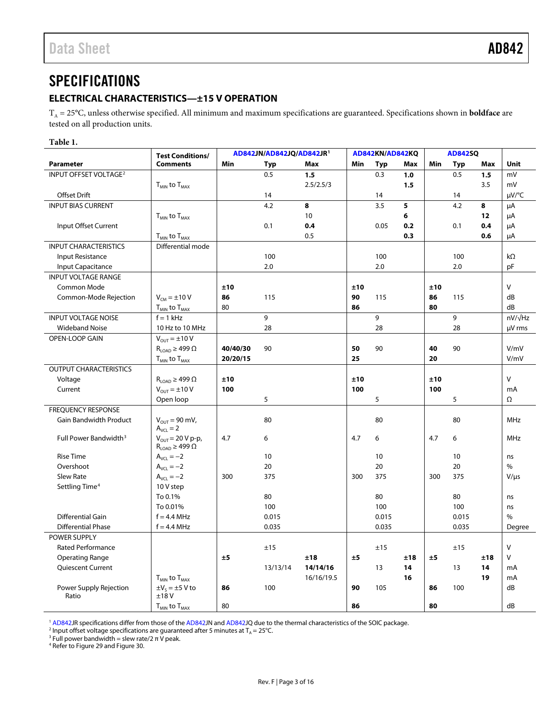## <span id="page-2-0"></span>**SPECIFICATIONS**

### <span id="page-2-1"></span>**ELECTRICAL CHARACTERISTICS—±15 V OPERATION**

TA = 25°C, unless otherwise specified. All minimum and maximum specifications are guaranteed. Specifications shown in **boldface** are tested on all production units.

### **Table 1.**

|                                   | <b>Test Conditions/</b>                                    | AD842JN/AD842JQ/AD842JR <sup>1</sup> |          | AD842KN/AD842KQ |     |       | <b>AD842SQ</b> |     |            |     |           |
|-----------------------------------|------------------------------------------------------------|--------------------------------------|----------|-----------------|-----|-------|----------------|-----|------------|-----|-----------|
| Parameter                         | <b>Comments</b>                                            | Min                                  | Typ      | Max             | Min | Typ   | Max            | Min | <b>Typ</b> | Max | Unit      |
| INPUT OFFSET VOLTAGE <sup>2</sup> |                                                            |                                      | 0.5      | 1.5             |     | 0.3   | 1.0            |     | 0.5        | 1.5 | mV        |
|                                   | $T_{MIN}$ to $T_{MAX}$                                     |                                      |          | 2.5/2.5/3       |     |       | 1.5            |     |            | 3.5 | mV        |
| Offset Drift                      |                                                            |                                      | 14       |                 |     | 14    |                |     | 14         |     | µV/°C     |
| <b>INPUT BIAS CURRENT</b>         |                                                            |                                      | 4.2      | 8               |     | 3.5   | 5              |     | 4.2        | 8   | μA        |
|                                   | $T_{MIN}$ to $T_{MAX}$                                     |                                      |          | 10              |     |       | 6              |     |            | 12  | μA        |
| Input Offset Current              |                                                            |                                      | 0.1      | 0.4             |     | 0.05  | 0.2            |     | 0.1        | 0.4 | μA        |
|                                   | $T_{MIN}$ to $T_{MAX}$                                     |                                      |          | 0.5             |     |       | 0.3            |     |            | 0.6 | μA        |
| <b>INPUT CHARACTERISTICS</b>      | Differential mode                                          |                                      |          |                 |     |       |                |     |            |     |           |
| Input Resistance                  |                                                            |                                      | 100      |                 |     | 100   |                |     | 100        |     | $k\Omega$ |
| Input Capacitance                 |                                                            |                                      | 2.0      |                 |     | 2.0   |                |     | 2.0        |     | pF        |
| <b>INPUT VOLTAGE RANGE</b>        |                                                            |                                      |          |                 |     |       |                |     |            |     |           |
| <b>Common Mode</b>                |                                                            | ±10                                  |          |                 | ±10 |       |                | ±10 |            |     | V         |
| Common-Mode Rejection             | $V_{\text{CM}} = \pm 10 V$                                 | 86                                   | 115      |                 | 90  | 115   |                | 86  | 115        |     | dB        |
|                                   | $T_{MIN}$ to $T_{MAX}$                                     | 80                                   |          |                 | 86  |       |                | 80  |            |     | dB        |
| <b>INPUT VOLTAGE NOISE</b>        | $f = 1$ kHz                                                |                                      | 9        |                 |     | 9     |                |     | 9          |     | nV/√Hz    |
| <b>Wideband Noise</b>             | 10 Hz to 10 MHz                                            |                                      | 28       |                 |     | 28    |                |     | 28         |     | µV rms    |
| OPEN-LOOP GAIN                    | $V_{OUT} = \pm 10 V$                                       |                                      |          |                 |     |       |                |     |            |     |           |
|                                   | $R_{LOAD} \geq 499 \Omega$                                 | 40/40/30                             | 90       |                 | 50  | 90    |                | 40  | 90         |     | V/mV      |
|                                   | $T_{MIN}$ to $T_{MAX}$                                     | 20/20/15                             |          |                 | 25  |       |                | 20  |            |     | V/mV      |
| <b>OUTPUT CHARACTERISTICS</b>     |                                                            |                                      |          |                 |     |       |                |     |            |     |           |
| Voltage                           | $R_{\text{LOAD}} \geq 499 \Omega$                          | ±10                                  |          |                 | ±10 |       |                | ±10 |            |     | $\vee$    |
| Current                           | $V_{OUT} = \pm 10 V$                                       | 100                                  |          |                 | 100 |       |                | 100 |            |     | mA        |
|                                   | Open loop                                                  |                                      | 5        |                 |     | 5     |                |     | 5          |     | Ω         |
| <b>FREQUENCY RESPONSE</b>         |                                                            |                                      |          |                 |     |       |                |     |            |     |           |
| Gain Bandwidth Product            | $V_{OUT} = 90$ mV,                                         |                                      | 80       |                 |     | 80    |                |     | 80         |     | MHz       |
|                                   | $A_{VCL} = 2$                                              |                                      |          |                 |     |       |                |     |            |     |           |
| Full Power Bandwidth <sup>3</sup> | $V_{OUT}$ = 20 V p-p,<br>$R_{\text{LOAD}} \geq 499 \Omega$ | 4.7                                  | 6        |                 | 4.7 | 6     |                | 4.7 | 6          |     | MHz       |
| <b>Rise Time</b>                  | $A_{VCL} = -2$                                             |                                      | 10       |                 |     | 10    |                |     | 10         |     | ns        |
| Overshoot                         | $A_{VCl} = -2$                                             |                                      | 20       |                 |     | 20    |                |     | 20         |     | $\%$      |
| <b>Slew Rate</b>                  | $A_{VCL} = -2$                                             | 300                                  | 375      |                 | 300 | 375   |                | 300 | 375        |     | $V/\mu s$ |
| Settling Time <sup>4</sup>        | 10 V step                                                  |                                      |          |                 |     |       |                |     |            |     |           |
|                                   | To 0.1%                                                    |                                      | 80       |                 |     | 80    |                |     | 80         |     | ns        |
|                                   | To 0.01%                                                   |                                      | 100      |                 |     | 100   |                |     | 100        |     | ns        |
| Differential Gain                 | $f = 4.4$ MHz                                              |                                      | 0.015    |                 |     | 0.015 |                |     | 0.015      |     | $\%$      |
| <b>Differential Phase</b>         | $f = 4.4$ MHz                                              |                                      | 0.035    |                 |     | 0.035 |                |     | 0.035      |     | Degree    |
| POWER SUPPLY                      |                                                            |                                      |          |                 |     |       |                |     |            |     |           |
| Rated Performance                 |                                                            |                                      | ±15      |                 |     | ±15   |                |     | ±15        |     | $\vee$    |
| <b>Operating Range</b>            |                                                            | ±5                                   |          | ±18             | ±5  |       | ±18            | ±5  |            | ±18 | V         |
| Quiescent Current                 |                                                            |                                      | 13/13/14 | 14/14/16        |     | 13    | 14             |     | 13         | 14  | mA        |
|                                   | $T_{MIN}$ to $T_{MAX}$                                     |                                      |          | 16/16/19.5      |     |       | 16             |     |            | 19  | mA        |
| Power Supply Rejection            | $\pm V_5 = \pm 5$ V to                                     | 86                                   | 100      |                 | 90  | 105   |                | 86  | 100        |     | dB        |
| Ratio                             | ±18V                                                       |                                      |          |                 |     |       |                |     |            |     |           |
|                                   | $T_{MIN}$ to $T_{MAX}$                                     | 80                                   |          |                 | 86  |       |                | 80  |            |     | dB        |

<sup>1</sup> [AD842J](http://www.analog.com/AD842?doc=AD842.pdf)R specifications differ from those of th[e AD842J](http://www.analog.com/AD842?doc=AD842.pdf)N an[d AD842J](http://www.analog.com/AD842?doc=AD842.pdf)Q due to the thermal characteristics of the SOIC package.

<span id="page-2-4"></span><span id="page-2-3"></span><span id="page-2-2"></span>2 Input offset voltage specifications are guaranteed after 5 minutes at  $T_A = 25^\circ$ C.<br><sup>3</sup> Full power bandwidth = slew rate/2 π V peak.<br><sup>4</sup> Refer t[o Figure 29](#page-8-3) an[d Figure 30.](#page-8-4)

<span id="page-2-5"></span>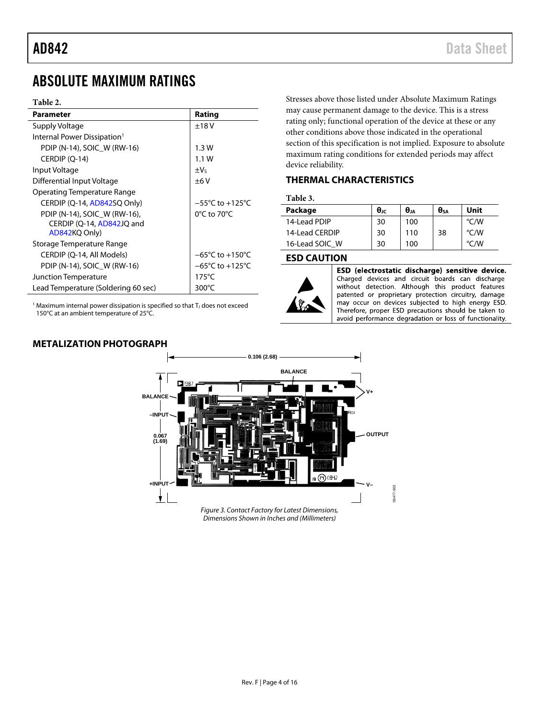## <span id="page-3-0"></span>ABSOLUTE MAXIMUM RATINGS

### **Table 2.**

| ±18V<br>Supply Voltage<br>Internal Power Dissipation <sup>1</sup><br>PDIP (N-14), SOIC W (RW-16)<br>1.3W<br>CERDIP (Q-14)<br>1.1W<br>$\pm V_5$<br>Input Voltage<br>Differential Input Voltage<br>±6V<br>Operating Temperature Range<br>$-55^{\circ}$ C to $+125^{\circ}$ C<br>CERDIP (Q-14, AD842SQ Only)<br>$0^{\circ}$ C to 70 $^{\circ}$ C<br>PDIP (N-14), SOIC W (RW-16),<br>CERDIP (Q-14, AD842JQ and<br>AD842KQ Only)<br>Storage Temperature Range<br>$-65^{\circ}$ C to $+150^{\circ}$ C<br>CERDIP (Q-14, All Models)<br>$-65^{\circ}$ C to $+125^{\circ}$ C<br>PDIP (N-14), SOIC W (RW-16)<br>$175^{\circ}$ C<br>Junction Temperature<br>300°C | Parameter                           | Rating |
|--------------------------------------------------------------------------------------------------------------------------------------------------------------------------------------------------------------------------------------------------------------------------------------------------------------------------------------------------------------------------------------------------------------------------------------------------------------------------------------------------------------------------------------------------------------------------------------------------------------------------------------------------------|-------------------------------------|--------|
|                                                                                                                                                                                                                                                                                                                                                                                                                                                                                                                                                                                                                                                        |                                     |        |
|                                                                                                                                                                                                                                                                                                                                                                                                                                                                                                                                                                                                                                                        |                                     |        |
|                                                                                                                                                                                                                                                                                                                                                                                                                                                                                                                                                                                                                                                        |                                     |        |
|                                                                                                                                                                                                                                                                                                                                                                                                                                                                                                                                                                                                                                                        |                                     |        |
|                                                                                                                                                                                                                                                                                                                                                                                                                                                                                                                                                                                                                                                        |                                     |        |
|                                                                                                                                                                                                                                                                                                                                                                                                                                                                                                                                                                                                                                                        |                                     |        |
|                                                                                                                                                                                                                                                                                                                                                                                                                                                                                                                                                                                                                                                        |                                     |        |
|                                                                                                                                                                                                                                                                                                                                                                                                                                                                                                                                                                                                                                                        |                                     |        |
|                                                                                                                                                                                                                                                                                                                                                                                                                                                                                                                                                                                                                                                        |                                     |        |
|                                                                                                                                                                                                                                                                                                                                                                                                                                                                                                                                                                                                                                                        |                                     |        |
|                                                                                                                                                                                                                                                                                                                                                                                                                                                                                                                                                                                                                                                        |                                     |        |
|                                                                                                                                                                                                                                                                                                                                                                                                                                                                                                                                                                                                                                                        |                                     |        |
|                                                                                                                                                                                                                                                                                                                                                                                                                                                                                                                                                                                                                                                        |                                     |        |
|                                                                                                                                                                                                                                                                                                                                                                                                                                                                                                                                                                                                                                                        |                                     |        |
|                                                                                                                                                                                                                                                                                                                                                                                                                                                                                                                                                                                                                                                        |                                     |        |
|                                                                                                                                                                                                                                                                                                                                                                                                                                                                                                                                                                                                                                                        | Lead Temperature (Soldering 60 sec) |        |

 $1$  Maximum internal power dissipation is specified so that T<sub>J</sub> does not exceed 150°C at an ambient temperature of 25°C.

## <span id="page-3-3"></span>**METALIZATION PHOTOGRAPH**

Stresses above those listed under Absolute Maximum Ratings may cause permanent damage to the device. This is a stress rating only; functional operation of the device at these or any other conditions above those indicated in the operational section of this specification is not implied. Exposure to absolute maximum rating conditions for extended periods may affect device reliability.

### <span id="page-3-1"></span>**THERMAL CHARACTERISTICS**

### **Table 3.**

| Package        | θıc | $\bm{\theta}_{JA}$ | $\theta$ sa | Unit          |
|----------------|-----|--------------------|-------------|---------------|
| 14-Lead PDIP   | 30  | 100                |             | $\degree$ C/W |
| 14-Lead CERDIP | 30  | 110                | 38          | $\degree$ C/W |
| 16-Lead SOIC W | 30  | 100                |             | °C/W          |

### <span id="page-3-2"></span>**ESD CAUTION**



ESD (electrostatic discharge) sensitive device. Charged devices and circuit boards can discharge without detection. Although this product features patented or proprietary protection circuitry, damage may occur on devices subjected to high energy ESD. Therefore, proper ESD precautions should be taken to avoid performance degradation or loss of functionality.

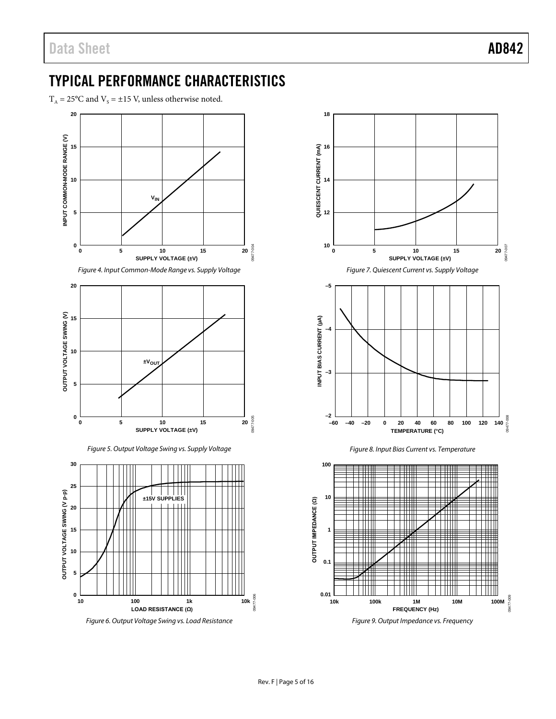## <span id="page-4-0"></span>TYPICAL PERFORMANCE CHARACTERISTICS

 $T_A = 25^{\circ}$ C and  $V_s = \pm 15$  V, unless otherwise noted.



*Figure 6. Output Voltage Swing vs. Load Resistance*



*Figure 9. Output Impedance vs. Frequency*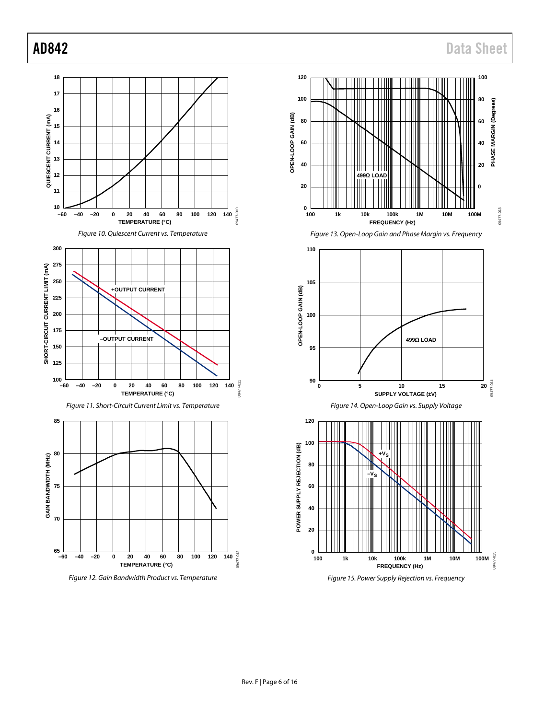**100**

**80**

**60**

**40**

**PHASE MARGIN (Degrees)**

PHASE MARGIN (Degrees)

09477-013

09477-013

09477-014

09477-015

09477-015

**20**

**0**

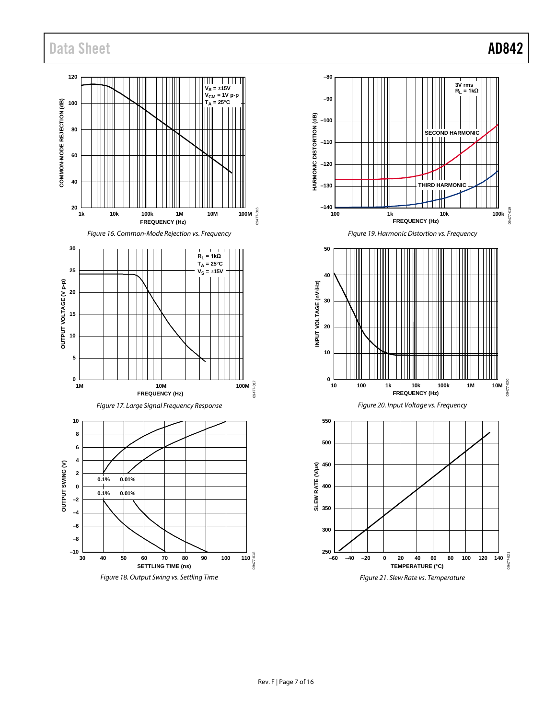## Data Sheet **AD842**

09477-019

09477-019

09477-020

020-77490

09477-021

09477-021

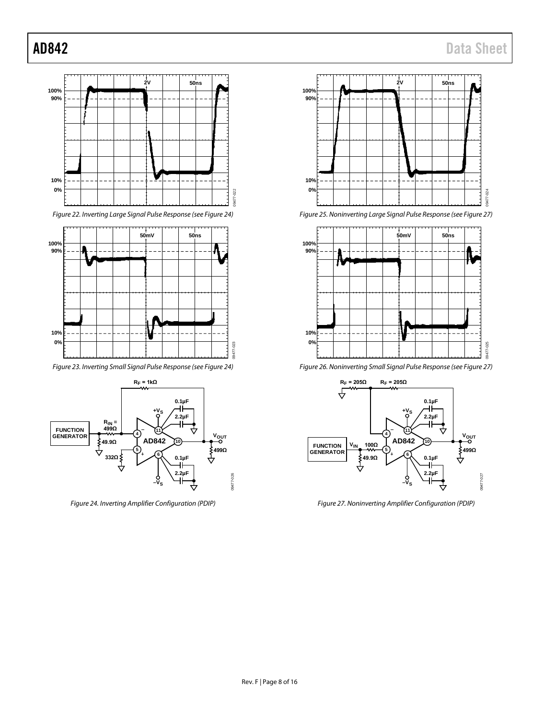

*Figure 22. Inverting Large Signal Pulse Response (se[e Figure 24\)](#page-7-0)*



*Figure 23. Inverting Small Signal Pulse Response (see [Figure 24\)](#page-7-0)*



<span id="page-7-0"></span>*Figure 24. Inverting Amplifier Configuration (PDIP)*



*Figure 25. Noninverting Large Signal Pulse Response (see [Figure 27\)](#page-7-1)*



*Figure 26. Noninverting Small Signal Pulse Response (see [Figure 27\)](#page-7-1)*



<span id="page-7-1"></span>*Figure 27. Noninverting Amplifier Configuration (PDIP)*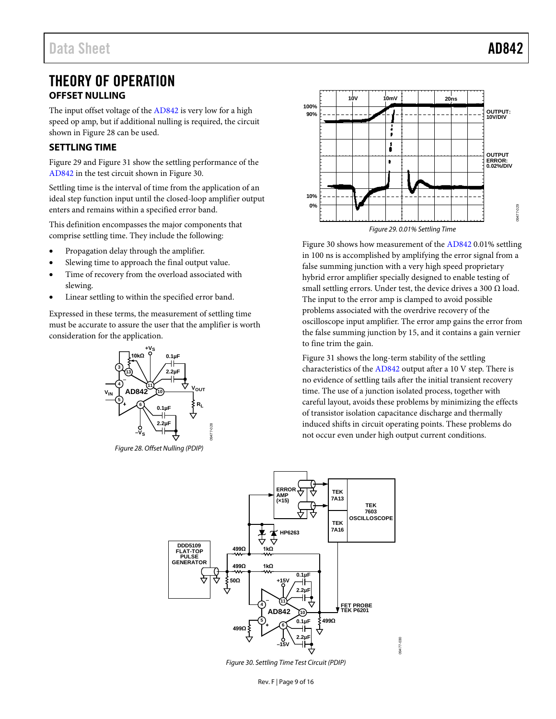## <span id="page-8-0"></span>THEORY OF OPERATION **OFFSET NULLING**

<span id="page-8-1"></span>The input offset voltage of th[e AD842](http://www.analog.com/AD842?doc=AD842.pdf) is very low for a high speed op amp, but if additional nulling is required, the circuit shown in [Figure 28](#page-8-5) can be used.

### <span id="page-8-2"></span>**SETTLING TIME**

[Figure 29](#page-8-3) an[d Figure 31](#page-9-4) show the settling performance of the [AD842](http://www.analog.com/AD842?doc=AD842.pdf) in the test circuit shown i[n Figure 30.](#page-8-4)

Settling time is the interval of time from the application of an ideal step function input until the closed-loop amplifier output enters and remains within a specified error band.

This definition encompasses the major components that comprise settling time. They include the following:

- Propagation delay through the amplifier.
- Slewing time to approach the final output value.
- Time of recovery from the overload associated with slewing.
- Linear settling to within the specified error band.

Expressed in these terms, the measurement of settling time must be accurate to assure the user that the amplifier is worth consideration for the application.



<span id="page-8-5"></span>*Figure 28. Offset Nulling (PDIP)*



<span id="page-8-3"></span>[Figure 30](#page-8-4) shows how measurement of th[e AD842](http://www.analog.com/AD842?doc=AD842.pdf) 0.01% settling in 100 ns is accomplished by amplifying the error signal from a false summing junction with a very high speed proprietary hybrid error amplifier specially designed to enable testing of small settling errors. Under test, the device drives a 300  $\Omega$  load. The input to the error amp is clamped to avoid possible problems associated with the overdrive recovery of the oscilloscope input amplifier. The error amp gains the error from the false summing junction by 15, and it contains a gain vernier to fine trim the gain.

[Figure 31](#page-9-4) shows the long-term stability of the settling characteristics of the [AD842](http://www.analog.com/AD842?doc=AD842.pdf) output after a 10 V step. There is no evidence of settling tails after the initial transient recovery time. The use of a junction isolated process, together with careful layout, avoids these problems by minimizing the effects of transistor isolation capacitance discharge and thermally induced shifts in circuit operating points. These problems do not occur even under high output current conditions.



<span id="page-8-4"></span>*Figure 30. Settling Time Test Circuit (PDIP)*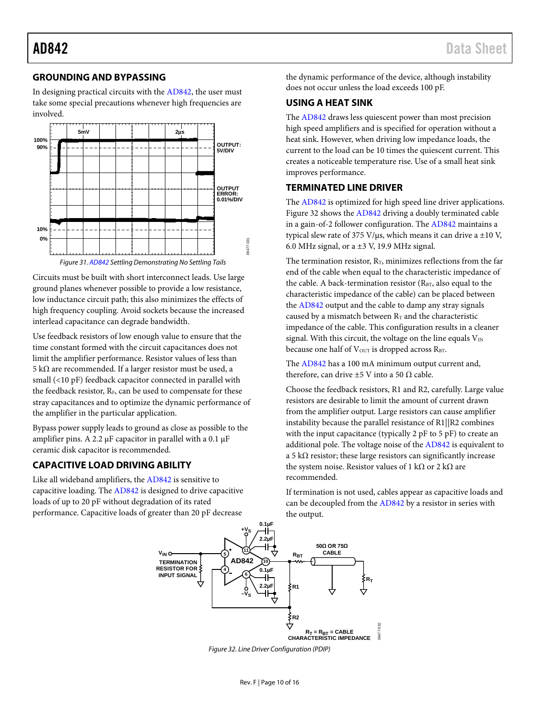### <span id="page-9-0"></span>**GROUNDING AND BYPASSING**

In designing practical circuits with th[e AD842,](http://www.analog.com/AD842?doc=AD842.pdf) the user must take some special precautions whenever high frequencies are involved.



<span id="page-9-4"></span>Circuits must be built with short interconnect leads. Use large ground planes whenever possible to provide a low resistance, low inductance circuit path; this also minimizes the effects of high frequency coupling. Avoid sockets because the increased interlead capacitance can degrade bandwidth.

Use feedback resistors of low enough value to ensure that the time constant formed with the circuit capacitances does not limit the amplifier performance. Resistor values of less than 5 kΩ are recommended. If a larger resistor must be used, a small (<10 pF) feedback capacitor connected in parallel with the feedback resistor,  $R_F$ , can be used to compensate for these stray capacitances and to optimize the dynamic performance of the amplifier in the particular application.

Bypass power supply leads to ground as close as possible to the amplifier pins. A 2.2 μF capacitor in parallel with a 0.1 μF ceramic disk capacitor is recommended.

### <span id="page-9-1"></span>**CAPACITIVE LOAD DRIVING ABILITY**

<span id="page-9-5"></span>Like all wideband amplifiers, th[e AD842](http://www.analog.com/AD842?doc=AD842.pdf) is sensitive to capacitive loading. Th[e AD842](http://www.analog.com/AD842?doc=AD842.pdf) is designed to drive capacitive loads of up to 20 pF without degradation of its rated performance. Capacitive loads of greater than 20 pF decrease

the dynamic performance of the device, although instability does not occur unless the load exceeds 100 pF.

### <span id="page-9-2"></span>**USING A HEAT SINK**

The [AD842](http://www.analog.com/AD842?doc=AD842.pdf) draws less quiescent power than most precision high speed amplifiers and is specified for operation without a heat sink. However, when driving low impedance loads, the current to the load can be 10 times the quiescent current. This creates a noticeable temperature rise. Use of a small heat sink improves performance.

### <span id="page-9-3"></span>**TERMINATED LINE DRIVER**

The [AD842](http://www.analog.com/AD842?doc=AD842.pdf) is optimized for high speed line driver applications. [Figure 32](#page-9-5) shows th[e AD842](http://www.analog.com/AD842?doc=AD842.pdf) driving a doubly terminated cable in a gain-of-2 follower configuration. The [AD842](http://www.analog.com/AD842?doc=AD842.pdf) maintains a typical slew rate of 375 V/ $\mu$ s, which means it can drive a ±10 V, 6.0 MHz signal, or a  $\pm$ 3 V, 19.9 MHz signal.

The termination resistor,  $R_T$ , minimizes reflections from the far end of the cable when equal to the characteristic impedance of the cable. A back-termination resistor  $(R_{BT})$ , also equal to the characteristic impedance of the cable) can be placed between the [AD842](http://www.analog.com/AD842?doc=AD842.pdf) output and the cable to damp any stray signals caused by a mismatch between  $R<sub>T</sub>$  and the characteristic impedance of the cable. This configuration results in a cleaner signal. With this circuit, the voltage on the line equals  $V_{IN}$ because one half of V<sub>OUT</sub> is dropped across RBT.

The [AD842](http://www.analog.com/AD842?doc=AD842.pdf) has a 100 mA minimum output current and, therefore, can drive  $\pm 5$  V into a 50  $\Omega$  cable.

Choose the feedback resistors, R1 and R2, carefully. Large value resistors are desirable to limit the amount of current drawn from the amplifier output. Large resistors can cause amplifier instability because the parallel resistance of R1||R2 combines with the input capacitance (typically 2 pF to 5 pF) to create an additional pole. The voltage noise of th[e AD842](http://www.analog.com/AD842?doc=AD842.pdf) is equivalent to a 5 k $\Omega$  resistor; these large resistors can significantly increase the system noise. Resistor values of 1 kΩ or 2 kΩ are recommended.

If termination is not used, cables appear as capacitive loads and can be decoupled from the [AD842](http://www.analog.com/AD842?doc=AD842.pdf) by a resistor in series with the output.

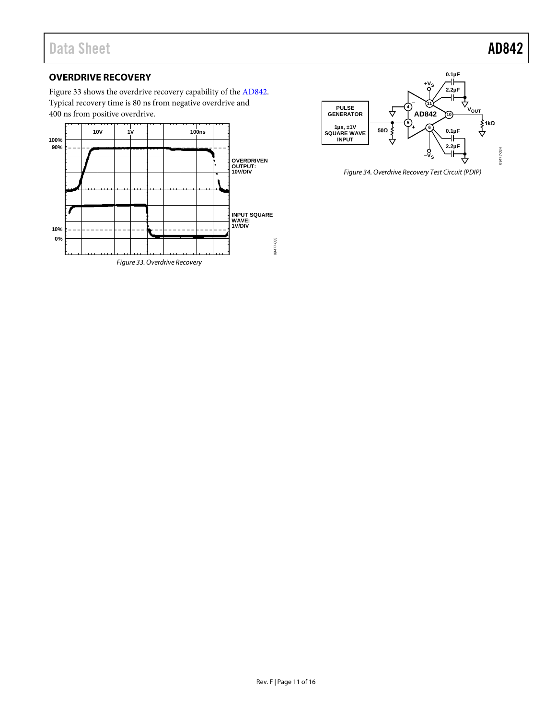### <span id="page-10-0"></span>**OVERDRIVE RECOVERY**

[Figure 33](#page-10-1) shows the overdrive recovery capability of the [AD842.](http://www.analog.com/AD842?doc=AD842.pdf) Typical recovery time is 80 ns from negative overdrive and 400 ns from positive overdrive.

<span id="page-10-1"></span>



*Figure 34. Overdrive Recovery Test Circuit (PDIP)*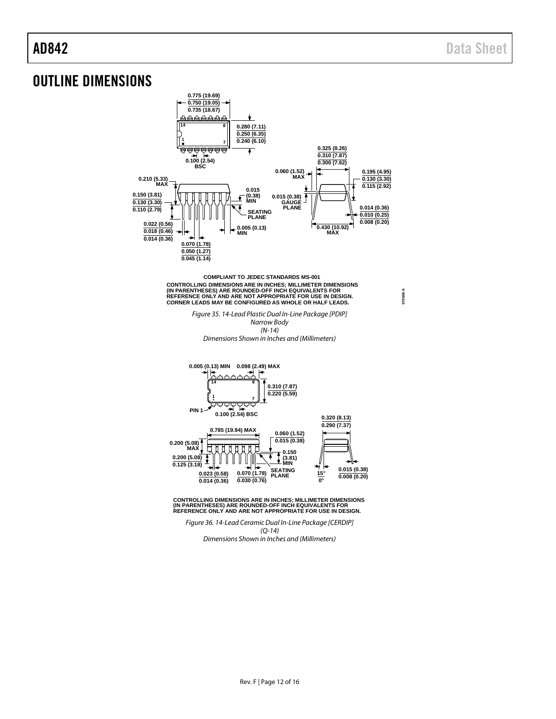**070606-A**

## <span id="page-11-0"></span>OUTLINE DIMENSIONS



*Figure 35. 14-Lead Plastic Dual In-Line Package [PDIP] Narrow Body (N-14) Dimensions Shown in Inches and (Millimeters)*



**CONTROLLING DIMENSIONS ARE IN INCHES; MILLIMETER DIMENSIONS (IN PARENTHESES) ARE ROUNDED-OFF INCH EQUIVALENTS FOR REFERENCE ONLY AND ARE NOT APPROPRIATE FOR USE IN DESIGN.**

*Figure 36. 14-Lead Ceramic Dual In-Line Package [CERDIP] (Q-14) Dimensions Shown in Inches and (Millimeters)*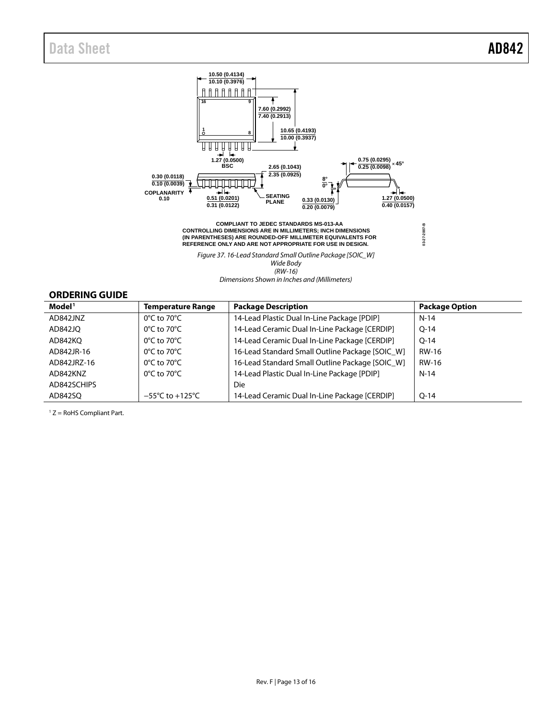

*Figure 37. 16-Lead Standard Small Outline Package [SOIC\_W] Wide Body (RW-16) Dimensions Shown in Inches and (Millimeters)*

### <span id="page-12-0"></span>**ORDERING GUIDE**

| Model <sup>1</sup> | <b>Temperature Range</b>            | <b>Package Description</b>                      | <b>Package Option</b> |
|--------------------|-------------------------------------|-------------------------------------------------|-----------------------|
| AD842JNZ           | $0^{\circ}$ C to 70 $^{\circ}$ C    | 14-Lead Plastic Dual In-Line Package [PDIP]     | $N-14$                |
| AD842JO            | $0^{\circ}$ C to 70 $^{\circ}$ C    | 14-Lead Ceramic Dual In-Line Package [CERDIP]   | $O-14$                |
| AD842KO            | $0^{\circ}$ C to 70 $^{\circ}$ C    | 14-Lead Ceramic Dual In-Line Package [CERDIP]   | $O-14$                |
| AD842JR-16         | $0^{\circ}$ C to 70 $^{\circ}$ C    | 16-Lead Standard Small Outline Package [SOIC W] | RW-16                 |
| AD842JRZ-16        | $0^{\circ}$ C to 70 $^{\circ}$ C    | 16-Lead Standard Small Outline Package [SOIC_W] | RW-16                 |
| AD842KNZ           | $0^{\circ}$ C to 70 $^{\circ}$ C    | 14-Lead Plastic Dual In-Line Package [PDIP]     | $N-14$                |
| AD842SCHIPS        |                                     | Die                                             |                       |
| AD842SO            | $-55^{\circ}$ C to $+125^{\circ}$ C | 14-Lead Ceramic Dual In-Line Package [CERDIP]   | $O-14$                |

 $1 Z =$  RoHS Compliant Part.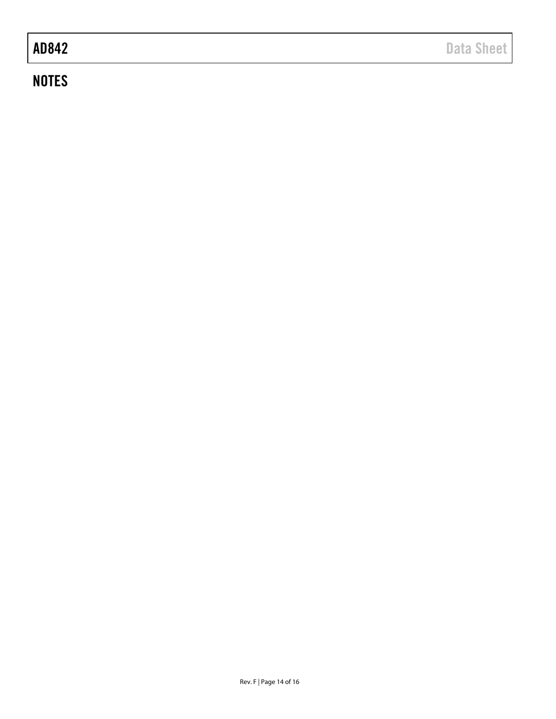## **NOTES**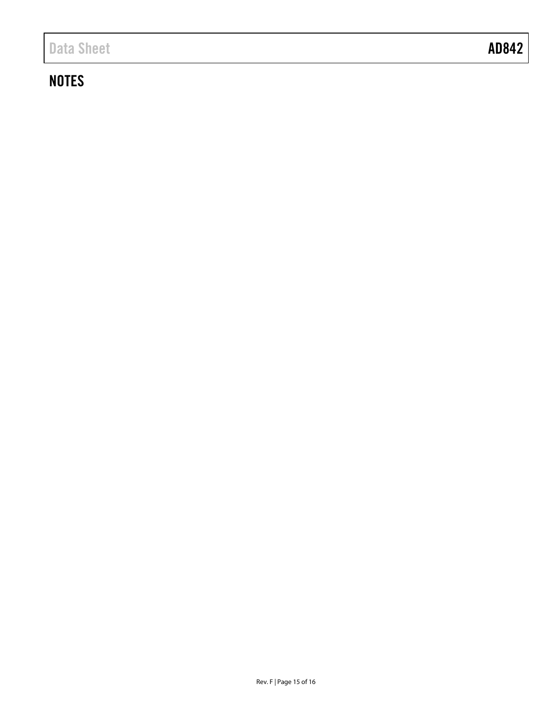## **NOTES**